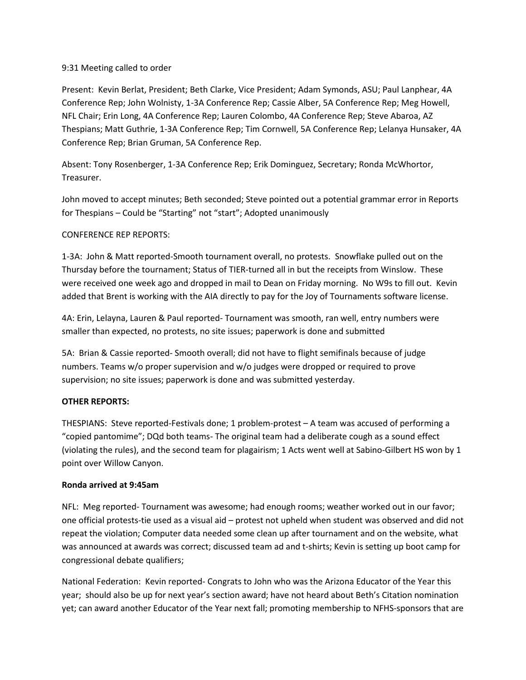## 9:31 Meeting called to order

Present: Kevin Berlat, President; Beth Clarke, Vice President; Adam Symonds, ASU; Paul Lanphear, 4A Conference Rep; John Wolnisty, 1-3A Conference Rep; Cassie Alber, 5A Conference Rep; Meg Howell, NFL Chair; Erin Long, 4A Conference Rep; Lauren Colombo, 4A Conference Rep; Steve Abaroa, AZ Thespians; Matt Guthrie, 1-3A Conference Rep; Tim Cornwell, 5A Conference Rep; Lelanya Hunsaker, 4A Conference Rep; Brian Gruman, 5A Conference Rep.

Absent: Tony Rosenberger, 1-3A Conference Rep; Erik Dominguez, Secretary; Ronda McWhortor, Treasurer.

John moved to accept minutes; Beth seconded; Steve pointed out a potential grammar error in Reports for Thespians – Could be "Starting" not "start"; Adopted unanimously

## CONFERENCE REP REPORTS:

1-3A: John & Matt reported-Smooth tournament overall, no protests. Snowflake pulled out on the Thursday before the tournament; Status of TIER-turned all in but the receipts from Winslow. These were received one week ago and dropped in mail to Dean on Friday morning. No W9s to fill out. Kevin added that Brent is working with the AIA directly to pay for the Joy of Tournaments software license.

4A: Erin, Lelayna, Lauren & Paul reported- Tournament was smooth, ran well, entry numbers were smaller than expected, no protests, no site issues; paperwork is done and submitted

5A: Brian & Cassie reported- Smooth overall; did not have to flight semifinals because of judge numbers. Teams w/o proper supervision and w/o judges were dropped or required to prove supervision; no site issues; paperwork is done and was submitted yesterday.

## **OTHER REPORTS:**

THESPIANS: Steve reported-Festivals done; 1 problem-protest – A team was accused of performing a "copied pantomime"; DQd both teams- The original team had a deliberate cough as a sound effect (violating the rules), and the second team for plagairism; 1 Acts went well at Sabino-Gilbert HS won by 1 point over Willow Canyon.

## **Ronda arrived at 9:45am**

NFL: Meg reported- Tournament was awesome; had enough rooms; weather worked out in our favor; one official protests-tie used as a visual aid – protest not upheld when student was observed and did not repeat the violation; Computer data needed some clean up after tournament and on the website, what was announced at awards was correct; discussed team ad and t-shirts; Kevin is setting up boot camp for congressional debate qualifiers;

National Federation: Kevin reported- Congrats to John who was the Arizona Educator of the Year this year; should also be up for next year's section award; have not heard about Beth's Citation nomination yet; can award another Educator of the Year next fall; promoting membership to NFHS-sponsors that are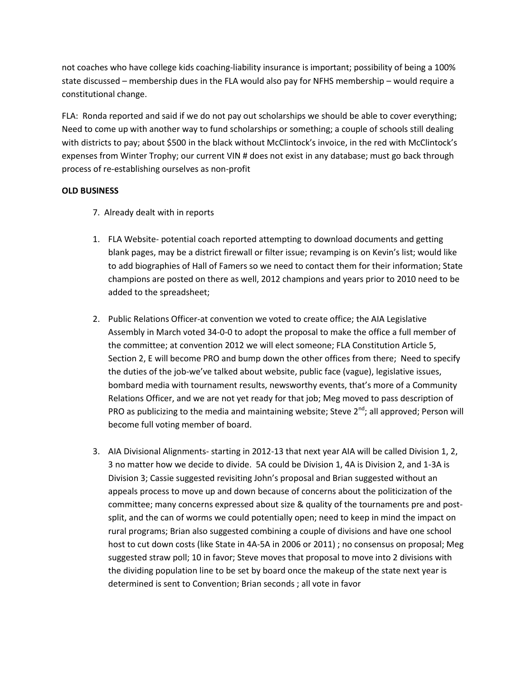not coaches who have college kids coaching-liability insurance is important; possibility of being a 100% state discussed – membership dues in the FLA would also pay for NFHS membership – would require a constitutional change.

FLA: Ronda reported and said if we do not pay out scholarships we should be able to cover everything; Need to come up with another way to fund scholarships or something; a couple of schools still dealing with districts to pay; about \$500 in the black without McClintock's invoice, in the red with McClintock's expenses from Winter Trophy; our current VIN # does not exist in any database; must go back through process of re-establishing ourselves as non-profit

# **OLD BUSINESS**

- 7. Already dealt with in reports
- 1. FLA Website- potential coach reported attempting to download documents and getting blank pages, may be a district firewall or filter issue; revamping is on Kevin's list; would like to add biographies of Hall of Famers so we need to contact them for their information; State champions are posted on there as well, 2012 champions and years prior to 2010 need to be added to the spreadsheet;
- 2. Public Relations Officer-at convention we voted to create office; the AIA Legislative Assembly in March voted 34-0-0 to adopt the proposal to make the office a full member of the committee; at convention 2012 we will elect someone; FLA Constitution Article 5, Section 2, E will become PRO and bump down the other offices from there; Need to specify the duties of the job-we've talked about website, public face (vague), legislative issues, bombard media with tournament results, newsworthy events, that's more of a Community Relations Officer, and we are not yet ready for that job; Meg moved to pass description of PRO as publicizing to the media and maintaining website; Steve  $2^{nd}$ ; all approved; Person will become full voting member of board.
- 3. AIA Divisional Alignments- starting in 2012-13 that next year AIA will be called Division 1, 2, 3 no matter how we decide to divide. 5A could be Division 1, 4A is Division 2, and 1-3A is Division 3; Cassie suggested revisiting John's proposal and Brian suggested without an appeals process to move up and down because of concerns about the politicization of the committee; many concerns expressed about size & quality of the tournaments pre and postsplit, and the can of worms we could potentially open; need to keep in mind the impact on rural programs; Brian also suggested combining a couple of divisions and have one school host to cut down costs (like State in 4A-5A in 2006 or 2011) ; no consensus on proposal; Meg suggested straw poll; 10 in favor; Steve moves that proposal to move into 2 divisions with the dividing population line to be set by board once the makeup of the state next year is determined is sent to Convention; Brian seconds ; all vote in favor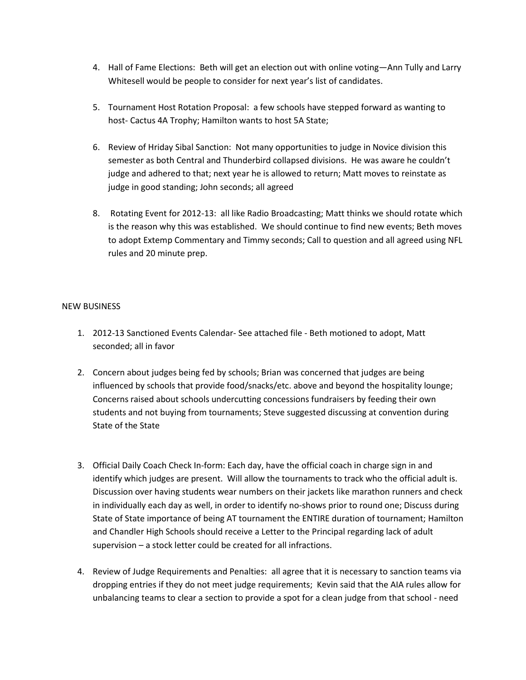- 4. Hall of Fame Elections: Beth will get an election out with online voting—Ann Tully and Larry Whitesell would be people to consider for next year's list of candidates.
- 5. Tournament Host Rotation Proposal: a few schools have stepped forward as wanting to host- Cactus 4A Trophy; Hamilton wants to host 5A State;
- 6. Review of Hriday Sibal Sanction: Not many opportunities to judge in Novice division this semester as both Central and Thunderbird collapsed divisions. He was aware he couldn't judge and adhered to that; next year he is allowed to return; Matt moves to reinstate as judge in good standing; John seconds; all agreed
- 8. Rotating Event for 2012-13: all like Radio Broadcasting; Matt thinks we should rotate which is the reason why this was established. We should continue to find new events; Beth moves to adopt Extemp Commentary and Timmy seconds; Call to question and all agreed using NFL rules and 20 minute prep.

## NEW BUSINESS

- 1. 2012-13 Sanctioned Events Calendar- See attached file Beth motioned to adopt, Matt seconded; all in favor
- 2. Concern about judges being fed by schools; Brian was concerned that judges are being influenced by schools that provide food/snacks/etc. above and beyond the hospitality lounge; Concerns raised about schools undercutting concessions fundraisers by feeding their own students and not buying from tournaments; Steve suggested discussing at convention during State of the State
- 3. Official Daily Coach Check In-form: Each day, have the official coach in charge sign in and identify which judges are present. Will allow the tournaments to track who the official adult is. Discussion over having students wear numbers on their jackets like marathon runners and check in individually each day as well, in order to identify no-shows prior to round one; Discuss during State of State importance of being AT tournament the ENTIRE duration of tournament; Hamilton and Chandler High Schools should receive a Letter to the Principal regarding lack of adult supervision – a stock letter could be created for all infractions.
- 4. Review of Judge Requirements and Penalties: all agree that it is necessary to sanction teams via dropping entries if they do not meet judge requirements; Kevin said that the AIA rules allow for unbalancing teams to clear a section to provide a spot for a clean judge from that school - need